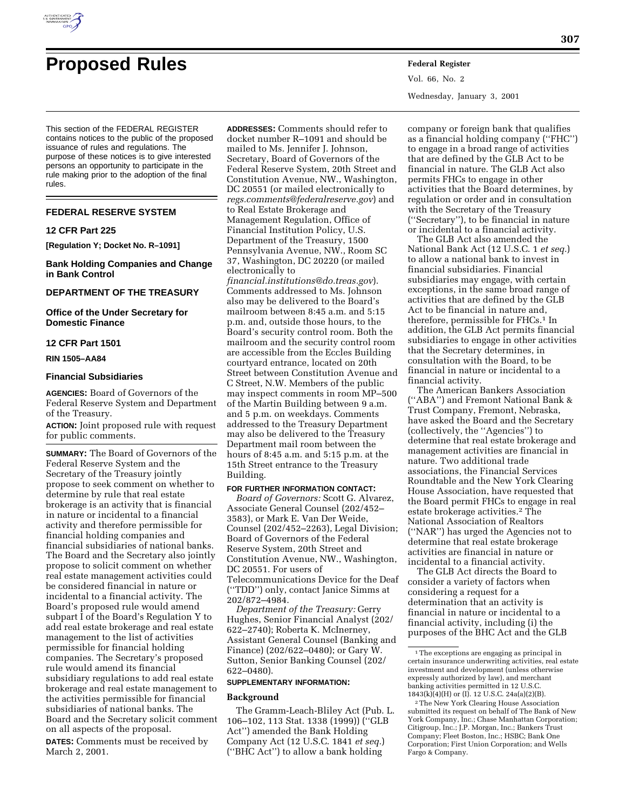

# **Proposed Rules Federal Register**

Vol. 66, No. 2 Wednesday, January 3, 2001

This section of the FEDERAL REGISTER contains notices to the public of the proposed issuance of rules and regulations. The purpose of these notices is to give interested persons an opportunity to participate in the rule making prior to the adoption of the final rules.

# **FEDERAL RESERVE SYSTEM**

## **12 CFR Part 225**

**[Regulation Y; Docket No. R–1091]**

**Bank Holding Companies and Change in Bank Control**

## **DEPARTMENT OF THE TREASURY**

**Office of the Under Secretary for Domestic Finance**

# **12 CFR Part 1501**

**RIN 1505–AA84**

#### **Financial Subsidiaries**

**AGENCIES:** Board of Governors of the Federal Reserve System and Department of the Treasury.

**ACTION:** Joint proposed rule with request for public comments.

**SUMMARY:** The Board of Governors of the Federal Reserve System and the Secretary of the Treasury jointly propose to seek comment on whether to determine by rule that real estate brokerage is an activity that is financial in nature or incidental to a financial activity and therefore permissible for financial holding companies and financial subsidiaries of national banks. The Board and the Secretary also jointly propose to solicit comment on whether real estate management activities could be considered financial in nature or incidental to a financial activity. The Board's proposed rule would amend subpart I of the Board's Regulation Y to add real estate brokerage and real estate management to the list of activities permissible for financial holding companies. The Secretary's proposed rule would amend its financial subsidiary regulations to add real estate brokerage and real estate management to the activities permissible for financial subsidiaries of national banks. The Board and the Secretary solicit comment on all aspects of the proposal.

**DATES:** Comments must be received by March 2, 2001.

**ADDRESSES:** Comments should refer to docket number R–1091 and should be mailed to Ms. Jennifer J. Johnson, Secretary, Board of Governors of the Federal Reserve System, 20th Street and Constitution Avenue, NW., Washington, DC 20551 (or mailed electronically to *regs.comments@federalreserve.gov*) and to Real Estate Brokerage and Management Regulation, Office of Financial Institution Policy, U.S. Department of the Treasury, 1500 Pennsylvania Avenue, NW., Room SC 37, Washington, DC 20220 (or mailed electronically to *financial.institutions@do.treas.gov*). Comments addressed to Ms. Johnson also may be delivered to the Board's mailroom between 8:45 a.m. and 5:15 p.m. and, outside those hours, to the Board's security control room. Both the mailroom and the security control room are accessible from the Eccles Building courtyard entrance, located on 20th Street between Constitution Avenue and C Street, N.W. Members of the public may inspect comments in room MP–500 of the Martin Building between 9 a.m. and 5 p.m. on weekdays. Comments addressed to the Treasury Department may also be delivered to the Treasury Department mail room between the hours of 8:45 a.m. and 5:15 p.m. at the 15th Street entrance to the Treasury Building.

#### **FOR FURTHER INFORMATION CONTACT:**

*Board of Governors:* Scott G. Alvarez, Associate General Counsel (202/452– 3583), or Mark E. Van Der Weide, Counsel (202/452–2263), Legal Division; Board of Governors of the Federal Reserve System, 20th Street and Constitution Avenue, NW., Washington, DC 20551. For users of Telecommunications Device for the Deaf (''TDD'') only, contact Janice Simms at 202/872–4984.

*Department of the Treasury:* Gerry Hughes, Senior Financial Analyst (202/ 622–2740); Roberta K. McInerney, Assistant General Counsel (Banking and Finance) (202/622–0480); or Gary W. Sutton, Senior Banking Counsel (202/ 622–0480).

#### **SUPPLEMENTARY INFORMATION:**

#### **Background**

The Gramm-Leach-Bliley Act (Pub. L. 106–102, 113 Stat. 1338 (1999)) (''GLB Act'') amended the Bank Holding Company Act (12 U.S.C. 1841 *et seq.*) (''BHC Act'') to allow a bank holding

company or foreign bank that qualifies as a financial holding company (''FHC'') to engage in a broad range of activities that are defined by the GLB Act to be financial in nature. The GLB Act also permits FHCs to engage in other activities that the Board determines, by regulation or order and in consultation with the Secretary of the Treasury (''Secretary''), to be financial in nature or incidental to a financial activity.

The GLB Act also amended the National Bank Act (12 U.S.C. 1 *et seq.*) to allow a national bank to invest in financial subsidiaries. Financial subsidiaries may engage, with certain exceptions, in the same broad range of activities that are defined by the GLB Act to be financial in nature and, therefore, permissible for FHCs.<sup>1</sup> In addition, the GLB Act permits financial subsidiaries to engage in other activities that the Secretary determines, in consultation with the Board, to be financial in nature or incidental to a financial activity.

The American Bankers Association (''ABA'') and Fremont National Bank & Trust Company, Fremont, Nebraska, have asked the Board and the Secretary (collectively, the ''Agencies'') to determine that real estate brokerage and management activities are financial in nature. Two additional trade associations, the Financial Services Roundtable and the New York Clearing House Association, have requested that the Board permit FHCs to engage in real estate brokerage activities.2 The National Association of Realtors (''NAR'') has urged the Agencies not to determine that real estate brokerage activities are financial in nature or incidental to a financial activity.

The GLB Act directs the Board to consider a variety of factors when considering a request for a determination that an activity is financial in nature or incidental to a financial activity, including (i) the purposes of the BHC Act and the GLB

2The New York Clearing House Association submitted its request on behalf of The Bank of New York Company, Inc.; Chase Manhattan Corporation; Citigroup, Inc.; J.P. Morgan, Inc.; Bankers Trust Company; Fleet Boston, Inc.; HSBC; Bank One Corporation; First Union Corporation; and Wells Fargo & Company.

<sup>&</sup>lt;sup>1</sup>The exceptions are engaging as principal in certain insurance underwriting activities, real estate investment and development (unless otherwise expressly authorized by law), and merchant banking activities permitted in 12 U.S.C. 1843(k)(4)(H) or (I). 12 U.S.C. 24a(a)(2)(B).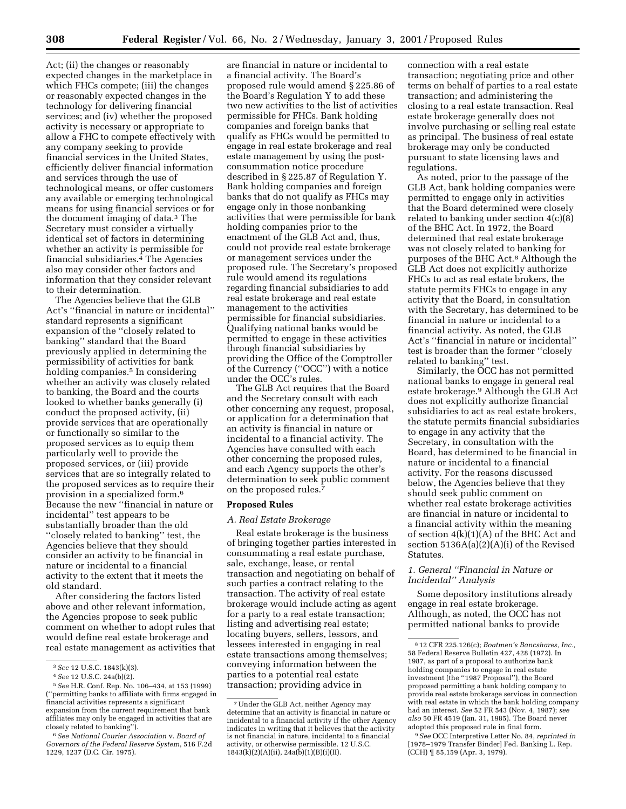Act; (ii) the changes or reasonably expected changes in the marketplace in which FHCs compete; (iii) the changes or reasonably expected changes in the technology for delivering financial services; and (iv) whether the proposed activity is necessary or appropriate to allow a FHC to compete effectively with any company seeking to provide financial services in the United States, efficiently deliver financial information and services through the use of technological means, or offer customers any available or emerging technological means for using financial services or for the document imaging of data.3 The Secretary must consider a virtually identical set of factors in determining whether an activity is permissible for financial subsidiaries.4 The Agencies also may consider other factors and information that they consider relevant to their determination.

The Agencies believe that the GLB Act's ''financial in nature or incidental'' standard represents a significant expansion of the ''closely related to banking'' standard that the Board previously applied in determining the permissibility of activities for bank holding companies.<sup>5</sup> In considering whether an activity was closely related to banking, the Board and the courts looked to whether banks generally (i) conduct the proposed activity, (ii) provide services that are operationally or functionally so similar to the proposed services as to equip them particularly well to provide the proposed services, or (iii) provide services that are so integrally related to the proposed services as to require their provision in a specialized form.6 Because the new ''financial in nature or incidental'' test appears to be substantially broader than the old ''closely related to banking'' test, the Agencies believe that they should consider an activity to be financial in nature or incidental to a financial activity to the extent that it meets the old standard.

After considering the factors listed above and other relevant information, the Agencies propose to seek public comment on whether to adopt rules that would define real estate brokerage and real estate management as activities that

are financial in nature or incidental to a financial activity. The Board's proposed rule would amend § 225.86 of the Board's Regulation Y to add these two new activities to the list of activities permissible for FHCs. Bank holding companies and foreign banks that qualify as FHCs would be permitted to engage in real estate brokerage and real estate management by using the postconsummation notice procedure described in § 225.87 of Regulation Y. Bank holding companies and foreign banks that do not qualify as FHCs may engage only in those nonbanking activities that were permissible for bank holding companies prior to the enactment of the GLB Act and, thus, could not provide real estate brokerage or management services under the proposed rule. The Secretary's proposed rule would amend its regulations regarding financial subsidiaries to add real estate brokerage and real estate management to the activities permissible for financial subsidiaries. Qualifying national banks would be permitted to engage in these activities through financial subsidiaries by providing the Office of the Comptroller of the Currency (''OCC'') with a notice under the OCC's rules.

The GLB Act requires that the Board and the Secretary consult with each other concerning any request, proposal, or application for a determination that an activity is financial in nature or incidental to a financial activity. The Agencies have consulted with each other concerning the proposed rules, and each Agency supports the other's determination to seek public comment on the proposed rules.7

# **Proposed Rules**

#### *A. Real Estate Brokerage*

Real estate brokerage is the business of bringing together parties interested in consummating a real estate purchase, sale, exchange, lease, or rental transaction and negotiating on behalf of such parties a contract relating to the transaction. The activity of real estate brokerage would include acting as agent for a party to a real estate transaction; listing and advertising real estate; locating buyers, sellers, lessors, and lessees interested in engaging in real estate transactions among themselves; conveying information between the parties to a potential real estate transaction; providing advice in

connection with a real estate transaction; negotiating price and other terms on behalf of parties to a real estate transaction; and administering the closing to a real estate transaction. Real estate brokerage generally does not involve purchasing or selling real estate as principal. The business of real estate brokerage may only be conducted pursuant to state licensing laws and regulations.

As noted, prior to the passage of the GLB Act, bank holding companies were permitted to engage only in activities that the Board determined were closely related to banking under section 4(c)(8) of the BHC Act. In 1972, the Board determined that real estate brokerage was not closely related to banking for purposes of the BHC Act.8 Although the GLB Act does not explicitly authorize FHCs to act as real estate brokers, the statute permits FHCs to engage in any activity that the Board, in consultation with the Secretary, has determined to be financial in nature or incidental to a financial activity. As noted, the GLB Act's ''financial in nature or incidental'' test is broader than the former ''closely related to banking'' test.

Similarly, the OCC has not permitted national banks to engage in general real estate brokerage.9 Although the GLB Act does not explicitly authorize financial subsidiaries to act as real estate brokers, the statute permits financial subsidiaries to engage in any activity that the Secretary, in consultation with the Board, has determined to be financial in nature or incidental to a financial activity. For the reasons discussed below, the Agencies believe that they should seek public comment on whether real estate brokerage activities are financial in nature or incidental to a financial activity within the meaning of section 4(k)(1)(A) of the BHC Act and section 5136A(a)(2)(A)(i) of the Revised Statutes.

# *1. General ''Financial in Nature or Incidental'' Analysis*

Some depository institutions already engage in real estate brokerage. Although, as noted, the OCC has not permitted national banks to provide

<sup>3</sup>*See* 12 U.S.C. 1843(k)(3).

<sup>4</sup>*See* 12 U.S.C. 24a(b)(2).

<sup>5</sup>*See* H.R. Conf. Rep. No. 106–434, at 153 (1999) (''permitting banks to affiliate with firms engaged in financial activities represents a significant expansion from the current requirement that bank affiliates may only be engaged in activities that are closely related to banking'').

<sup>6</sup>*See National Courier Association* v. *Board of Governors of the Federal Reserve System*, 516 F.2d 1229, 1237 (D.C. Cir. 1975).

<sup>7</sup>Under the GLB Act, neither Agency may determine that an activity is financial in nature or incidental to a financial activity if the other Agency indicates in writing that it believes that the activity is not financial in nature, incidental to a financial activity, or otherwise permissible. 12 U.S.C.  $1843(k)(2)(A)(ii)$ ,  $24a(b)(1)(B)(i)(II)$ .

<sup>8</sup> 12 CFR 225.126(c); *Boatmen's Bancshares, Inc.,* 58 Federal Reserve Bulletin 427, 428 (1972). In 1987, as part of a proposal to authorize bank holding companies to engage in real estate investment (the ''1987 Proposal''), the Board proposed permitting a bank holding company to provide real estate brokerage services in connection with real estate in which the bank holding company had an interest. *See* 52 FR 543 (Nov. 4, 1987); *see also* 50 FR 4519 (Jan. 31, 1985). The Board never adopted this proposed rule in final form.

<sup>9</sup>*See* OCC Interpretive Letter No. 84, *reprinted in* [1978–1979 Transfer Binder] Fed. Banking L. Rep. (CCH) ¶ 85,159 (Apr. 3, 1979).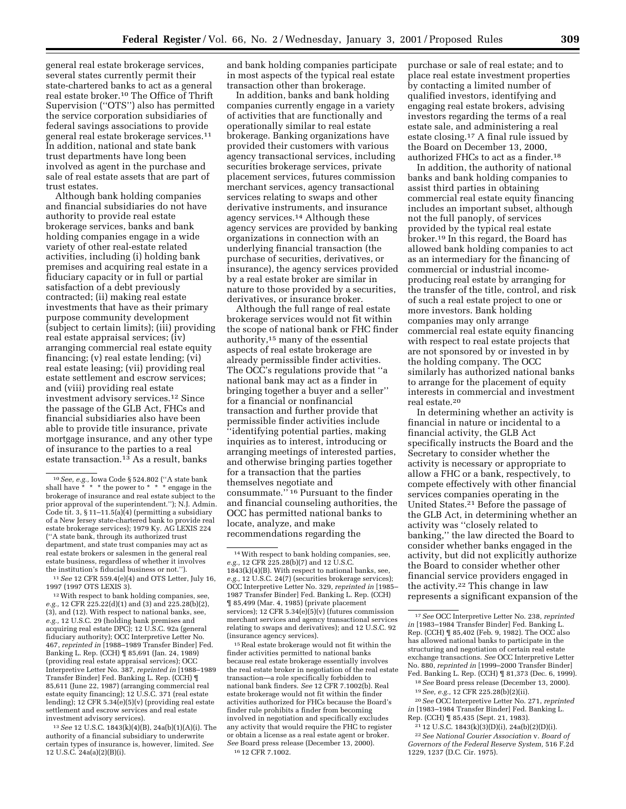general real estate brokerage services, several states currently permit their state-chartered banks to act as a general real estate broker.10 The Office of Thrift Supervision (''OTS'') also has permitted the service corporation subsidiaries of federal savings associations to provide general real estate brokerage services.11 In addition, national and state bank trust departments have long been involved as agent in the purchase and sale of real estate assets that are part of trust estates.

Although bank holding companies and financial subsidiaries do not have authority to provide real estate brokerage services, banks and bank holding companies engage in a wide variety of other real-estate related activities, including (i) holding bank premises and acquiring real estate in a fiduciary capacity or in full or partial satisfaction of a debt previously contracted; (ii) making real estate investments that have as their primary purpose community development (subject to certain limits); (iii) providing real estate appraisal services; (iv) arranging commercial real estate equity financing; (v) real estate lending; (vi) real estate leasing; (vii) providing real estate settlement and escrow services; and (viii) providing real estate investment advisory services.12 Since the passage of the GLB Act, FHCs and financial subsidiaries also have been able to provide title insurance, private mortgage insurance, and any other type of insurance to the parties to a real estate transaction.<sup>13</sup> As a result, banks

12With respect to bank holding companies, see, *e.g.,* 12 CFR 225.22(d)(1) and (3) and 225.28(b)(2), (3), and (12). With respect to national banks, see, *e.g.,* 12 U.S.C. 29 (holding bank premises and acquiring real estate DPC); 12 U.S.C. 92a (general fiduciary authority); OCC Interpretive Letter No. 467, *reprinted in* [1988–1989 Transfer Binder] Fed. Banking L. Rep. (CCH) ¶ 85,691 (Jan. 24, 1989) (providing real estate appraisal services); OCC Interpretive Letter No. 387, *reprinted in* [1988–1989 Transfer Binder] Fed. Banking L. Rep. (CCH) ¶ 85,611 (June 22, 1987) (arranging commercial real estate equity financing); 12 U.S.C. 371 (real estate lending); 12 CFR 5.34(e)(5)(v) (providing real estate settlement and escrow services and real estate investment advisory services).

13*See* 12 U.S.C. 1843(k)(4)(B), 24a(b)(1)(A)(i). The authority of a financial subsidiary to underwrite certain types of insurance is, however, limited. *See* 12 U.S.C. 24a(a)(2)(B)(i).

and bank holding companies participate in most aspects of the typical real estate transaction other than brokerage.

In addition, banks and bank holding companies currently engage in a variety of activities that are functionally and operationally similar to real estate brokerage. Banking organizations have provided their customers with various agency transactional services, including securities brokerage services, private placement services, futures commission merchant services, agency transactional services relating to swaps and other derivative instruments, and insurance agency services.14 Although these agency services are provided by banking organizations in connection with an underlying financial transaction (the purchase of securities, derivatives, or insurance), the agency services provided by a real estate broker are similar in nature to those provided by a securities, derivatives, or insurance broker.

Although the full range of real estate brokerage services would not fit within the scope of national bank or FHC finder authority,15 many of the essential aspects of real estate brokerage are already permissible finder activities. The OCC's regulations provide that ''a national bank may act as a finder in bringing together a buyer and a seller'' for a financial or nonfinancial transaction and further provide that permissible finder activities include ''identifying potential parties, making inquiries as to interest, introducing or arranging meetings of interested parties, and otherwise bringing parties together for a transaction that the parties themselves negotiate and consummate.'' 16 Pursuant to the finder and financial counseling authorities, the OCC has permitted national banks to locate, analyze, and make recommendations regarding the

15Real estate brokerage would not fit within the finder activities permitted to national banks because real estate brokerage essentially involves the real estate broker in negotiation of the real estate transaction—a role specifically forbidden to national bank finders. *See* 12 CFR 7.1002(b). Real estate brokerage would not fit within the finder activities authorized for FHCs because the Board's finder rule prohibits a finder from becoming involved in negotiation and specifically excludes any activity that would require the FHC to register or obtain a license as a real estate agent or broker. *See* Board press release (December 13, 2000). 16 12 CFR 7.1002.

purchase or sale of real estate; and to place real estate investment properties by contacting a limited number of qualified investors, identifying and engaging real estate brokers, advising investors regarding the terms of a real estate sale, and administering a real estate closing.17 A final rule issued by the Board on December 13, 2000, authorized FHCs to act as a finder.18

In addition, the authority of national banks and bank holding companies to assist third parties in obtaining commercial real estate equity financing includes an important subset, although not the full panoply, of services provided by the typical real estate broker.19 In this regard, the Board has allowed bank holding companies to act as an intermediary for the financing of commercial or industrial incomeproducing real estate by arranging for the transfer of the title, control, and risk of such a real estate project to one or more investors. Bank holding companies may only arrange commercial real estate equity financing with respect to real estate projects that are not sponsored by or invested in by the holding company. The OCC similarly has authorized national banks to arrange for the placement of equity interests in commercial and investment real estate.20

In determining whether an activity is financial in nature or incidental to a financial activity, the GLB Act specifically instructs the Board and the Secretary to consider whether the activity is necessary or appropriate to allow a FHC or a bank, respectively, to compete effectively with other financial services companies operating in the United States.21 Before the passage of the GLB Act, in determining whether an activity was ''closely related to banking,'' the law directed the Board to consider whether banks engaged in the activity, but did not explicitly authorize the Board to consider whether other financial service providers engaged in the activity.22 This change in law represents a significant expansion of the

<sup>&</sup>lt;sup>10</sup> *See, e.g.,* Iowa Code § 524.802 ("A state bank shall have \* \* \* the power to \* \* \* \* engage in the  $*$  \* the power to  $*$  \* \* engage in the brokerage of insurance and real estate subject to the prior approval of the superintendent.''); N.J. Admin. Code tit. 3, § 11-11.5(a) $\overline{(4)}$  (permitting a subsidiary of a New Jersey state-chartered bank to provide real estate brokerage services); 1979 Ky. AG LEXIS 224 (''A state bank, through its authorized trust department, and state trust companies may act as real estate brokers or salesmen in the general real estate business, regardless of whether it involves the institution's fiducial business or not.'').

<sup>11</sup>*See* 12 CFR 559.4(e)(4) and OTS Letter, July 16, 1997 (1997 OTS LEXIS 3).

<sup>14</sup>With respect to bank holding companies, see, *e.g.,* 12 CFR 225.28(b)(7) and 12 U.S.C. 1843(k)(4)(B). With respect to national banks, see, *e.g.,* 12 U.S.C. 24(7) (securities brokerage services); OCC Interpretive Letter No. 329, *reprinted in* [1985– 1987 Transfer Binder] Fed. Banking L. Rep. (CCH) ¶ 85,499 (Mar. 4, 1985) (private placement services); 12 CFR 5.34 $(e)(5)(v)$  (futures commission merchant services and agency transactional services relating to swaps and derivatives); and 12 U.S.C. 92 (insurance agency services).

<sup>17</sup>*See* OCC Interpretive Letter No. 238, *reprinted in* [1983–1984 Transfer Binder] Fed. Banking L. Rep. (CCH) ¶ 85,402 (Feb. 9, 1982). The OCC also has allowed national banks to participate in the structuring and negotiation of certain real estate exchange transactions. *See* OCC Interpretive Letter No. 880, *reprinted in* [1999–2000 Transfer Binder] Fed. Banking L. Rep. (CCH) ¶ 81,373 (Dec. 6, 1999).

<sup>18</sup>*See* Board press release (December 13, 2000). 19*See, e.g.,* 12 CFR 225.28(b)(2)(ii).

<sup>20</sup>*See* OCC Interpretive Letter No. 271, *reprinted in* [1983–1984 Transfer Binder] Fed. Banking L.

Rep. (CCH) ¶ 85,435 (Sept. 21, 1983). 21 12 U.S.C. 1843(k)(3)(D)(i), 24a(b)(2)(D)(i).

<sup>22</sup>*See National Courier Association* v. *Board of Governors of the Federal Reserve System,* 516 F.2d 1229, 1237 (D.C. Cir. 1975).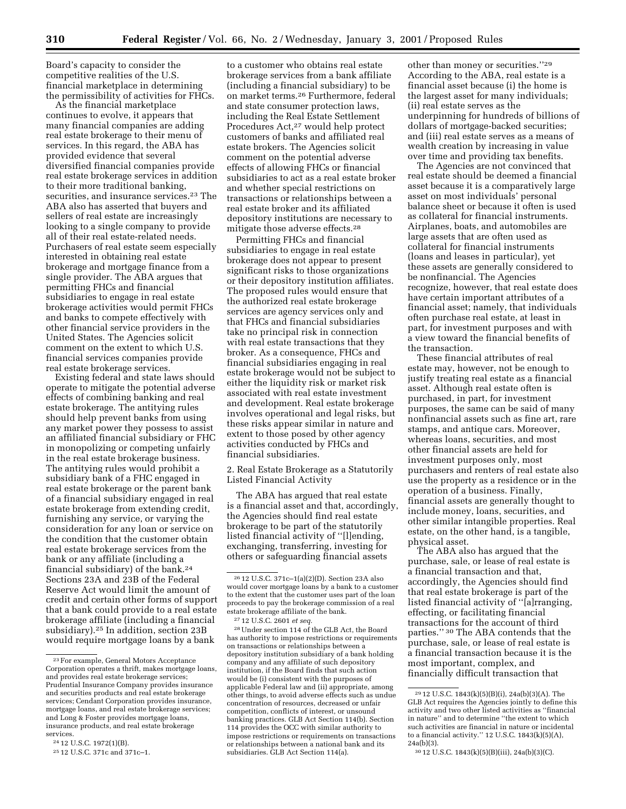Board's capacity to consider the competitive realities of the U.S. financial marketplace in determining the permissibility of activities for FHCs.

As the financial marketplace continues to evolve, it appears that many financial companies are adding real estate brokerage to their menu of services. In this regard, the ABA has provided evidence that several diversified financial companies provide real estate brokerage services in addition to their more traditional banking, securities, and insurance services.23 The ABA also has asserted that buyers and sellers of real estate are increasingly looking to a single company to provide all of their real estate-related needs. Purchasers of real estate seem especially interested in obtaining real estate brokerage and mortgage finance from a single provider. The ABA argues that permitting FHCs and financial subsidiaries to engage in real estate brokerage activities would permit FHCs and banks to compete effectively with other financial service providers in the United States. The Agencies solicit comment on the extent to which U.S. financial services companies provide real estate brokerage services.

Existing federal and state laws should operate to mitigate the potential adverse effects of combining banking and real estate brokerage. The antitying rules should help prevent banks from using any market power they possess to assist an affiliated financial subsidiary or FHC in monopolizing or competing unfairly in the real estate brokerage business. The antitying rules would prohibit a subsidiary bank of a FHC engaged in real estate brokerage or the parent bank of a financial subsidiary engaged in real estate brokerage from extending credit, furnishing any service, or varying the consideration for any loan or service on the condition that the customer obtain real estate brokerage services from the bank or any affiliate (including a financial subsidiary) of the bank.24 Sections 23A and 23B of the Federal Reserve Act would limit the amount of credit and certain other forms of support that a bank could provide to a real estate brokerage affiliate (including a financial subsidiary).25 In addition, section 23B would require mortgage loans by a bank

to a customer who obtains real estate brokerage services from a bank affiliate (including a financial subsidiary) to be on market terms.26 Furthermore, federal and state consumer protection laws, including the Real Estate Settlement Procedures Act,<sup>27</sup> would help protect customers of banks and affiliated real estate brokers. The Agencies solicit comment on the potential adverse effects of allowing FHCs or financial subsidiaries to act as a real estate broker and whether special restrictions on transactions or relationships between a real estate broker and its affiliated depository institutions are necessary to mitigate those adverse effects.28

Permitting FHCs and financial subsidiaries to engage in real estate brokerage does not appear to present significant risks to those organizations or their depository institution affiliates. The proposed rules would ensure that the authorized real estate brokerage services are agency services only and that FHCs and financial subsidiaries take no principal risk in connection with real estate transactions that they broker. As a consequence, FHCs and financial subsidiaries engaging in real estate brokerage would not be subject to either the liquidity risk or market risk associated with real estate investment and development. Real estate brokerage involves operational and legal risks, but these risks appear similar in nature and extent to those posed by other agency activities conducted by FHCs and financial subsidiaries.

2. Real Estate Brokerage as a Statutorily Listed Financial Activity

The ABA has argued that real estate is a financial asset and that, accordingly, the Agencies should find real estate brokerage to be part of the statutorily listed financial activity of ''[l]ending, exchanging, transferring, investing for others or safeguarding financial assets

27 12 U.S.C. 2601 *et seq.*

28Under section 114 of the GLB Act, the Board has authority to impose restrictions or requirements on transactions or relationships between a depository institution subsidiary of a bank holding company and any affiliate of such depository institution, if the Board finds that such action would be (i) consistent with the purposes of applicable Federal law and (ii) appropriate, among other things, to avoid adverse effects such as undue concentration of resources, decreased or unfair competition, conflicts of interest, or unsound banking practices. GLB Act Section 114(b). Section 114 provides the OCC with similar authority to impose restrictions or requirements on transactions or relationships between a national bank and its subsidiaries. GLB Act Section 114(a).

other than money or securities.''29 According to the ABA, real estate is a financial asset because (i) the home is the largest asset for many individuals; (ii) real estate serves as the underpinning for hundreds of billions of dollars of mortgage-backed securities; and (iii) real estate serves as a means of wealth creation by increasing in value over time and providing tax benefits.

The Agencies are not convinced that real estate should be deemed a financial asset because it is a comparatively large asset on most individuals' personal balance sheet or because it often is used as collateral for financial instruments. Airplanes, boats, and automobiles are large assets that are often used as collateral for financial instruments (loans and leases in particular), yet these assets are generally considered to be nonfinancial. The Agencies recognize, however, that real estate does have certain important attributes of a financial asset; namely, that individuals often purchase real estate, at least in part, for investment purposes and with a view toward the financial benefits of the transaction.

These financial attributes of real estate may, however, not be enough to justify treating real estate as a financial asset. Although real estate often is purchased, in part, for investment purposes, the same can be said of many nonfinancial assets such as fine art, rare stamps, and antique cars. Moreover, whereas loans, securities, and most other financial assets are held for investment purposes only, most purchasers and renters of real estate also use the property as a residence or in the operation of a business. Finally, financial assets are generally thought to include money, loans, securities, and other similar intangible properties. Real estate, on the other hand, is a tangible, physical asset.

The ABA also has argued that the purchase, sale, or lease of real estate is a financial transaction and that, accordingly, the Agencies should find that real estate brokerage is part of the listed financial activity of ''[a]rranging, effecting, or facilitating financial transactions for the account of third parties.'' 30 The ABA contends that the purchase, sale, or lease of real estate is a financial transaction because it is the most important, complex, and financially difficult transaction that

<sup>23</sup>For example, General Motors Acceptance Corporation operates a thrift, makes mortgage loans, and provides real estate brokerage services; Prudential Insurance Company provides insurance and securities products and real estate brokerage services; Cendant Corporation provides insurance, mortgage loans, and real estate brokerage services; and Long & Foster provides mortgage loans, insurance products, and real estate brokerage services.

<sup>24</sup> 12 U.S.C. 1972(1)(B).

<sup>25</sup> 12 U.S.C. 371c and 371c–1.

<sup>26</sup> 12 U.S.C. 371c–1(a)(2)(D). Section 23A also would cover mortgage loans by a bank to a customer to the extent that the customer uses part of the loan proceeds to pay the brokerage commission of a real estate brokerage affiliate of the bank.

<sup>29</sup> 12 U.S.C. 1843(k)(5)(B)(i), 24a(b)(3)(A). The GLB Act requires the Agencies jointly to define this activity and two other listed activities as ''financial in nature'' and to determine ''the extent to which such activities are financial in nature or incidental to a financial activity.'' 12 U.S.C. 1843(k)(5)(A),  $24a(b)(3)$ .

<sup>30</sup> 12 U.S.C. 1843(k)(5)(B)(iii), 24a(b)(3)(C).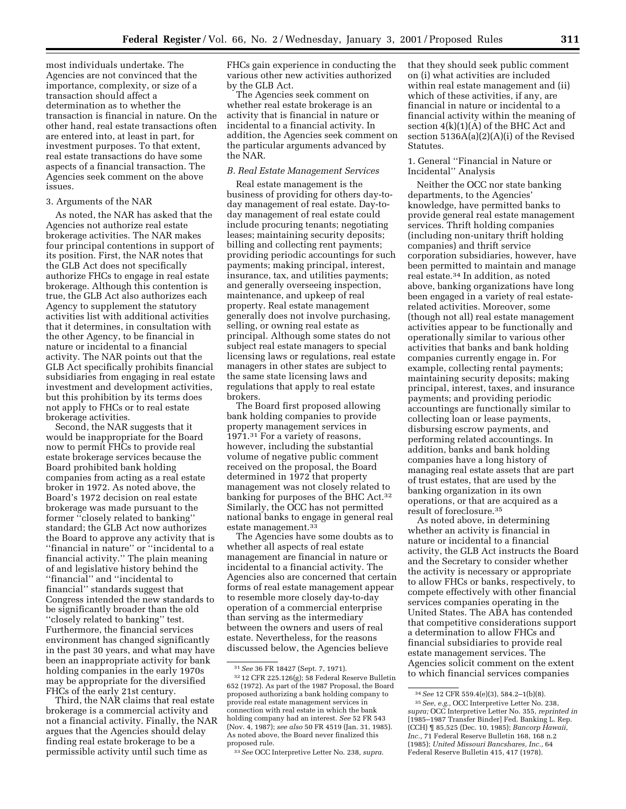most individuals undertake. The Agencies are not convinced that the importance, complexity, or size of a transaction should affect a determination as to whether the transaction is financial in nature. On the other hand, real estate transactions often are entered into, at least in part, for investment purposes. To that extent, real estate transactions do have some aspects of a financial transaction. The Agencies seek comment on the above issues.

#### 3. Arguments of the NAR

As noted, the NAR has asked that the Agencies not authorize real estate brokerage activities. The NAR makes four principal contentions in support of its position. First, the NAR notes that the GLB Act does not specifically authorize FHCs to engage in real estate brokerage. Although this contention is true, the GLB Act also authorizes each Agency to supplement the statutory activities list with additional activities that it determines, in consultation with the other Agency, to be financial in nature or incidental to a financial activity. The NAR points out that the GLB Act specifically prohibits financial subsidiaries from engaging in real estate investment and development activities, but this prohibition by its terms does not apply to FHCs or to real estate brokerage activities.

Second, the NAR suggests that it would be inappropriate for the Board now to permit FHCs to provide real estate brokerage services because the Board prohibited bank holding companies from acting as a real estate broker in 1972. As noted above, the Board's 1972 decision on real estate brokerage was made pursuant to the former ''closely related to banking'' standard; the GLB Act now authorizes the Board to approve any activity that is ''financial in nature'' or ''incidental to a financial activity.'' The plain meaning of and legislative history behind the ''financial'' and ''incidental to financial'' standards suggest that Congress intended the new standards to be significantly broader than the old ''closely related to banking'' test. Furthermore, the financial services environment has changed significantly in the past 30 years, and what may have been an inappropriate activity for bank holding companies in the early 1970s may be appropriate for the diversified FHCs of the early 21st century.

Third, the NAR claims that real estate brokerage is a commercial activity and not a financial activity. Finally, the NAR argues that the Agencies should delay finding real estate brokerage to be a permissible activity until such time as

FHCs gain experience in conducting the various other new activities authorized by the GLB Act.

The Agencies seek comment on whether real estate brokerage is an activity that is financial in nature or incidental to a financial activity. In addition, the Agencies seek comment on the particular arguments advanced by the NAR.

#### *B. Real Estate Management Services*

Real estate management is the business of providing for others day-today management of real estate. Day-today management of real estate could include procuring tenants; negotiating leases; maintaining security deposits; billing and collecting rent payments; providing periodic accountings for such payments; making principal, interest, insurance, tax, and utilities payments; and generally overseeing inspection, maintenance, and upkeep of real property. Real estate management generally does not involve purchasing, selling, or owning real estate as principal. Although some states do not subject real estate managers to special licensing laws or regulations, real estate managers in other states are subject to the same state licensing laws and regulations that apply to real estate brokers.

The Board first proposed allowing bank holding companies to provide property management services in 1971.31 For a variety of reasons, however, including the substantial volume of negative public comment received on the proposal, the Board determined in 1972 that property management was not closely related to banking for purposes of the BHC Act.32 Similarly, the OCC has not permitted national banks to engage in general real estate management.33

The Agencies have some doubts as to whether all aspects of real estate management are financial in nature or incidental to a financial activity. The Agencies also are concerned that certain forms of real estate management appear to resemble more closely day-to-day operation of a commercial enterprise than serving as the intermediary between the owners and users of real estate. Nevertheless, for the reasons discussed below, the Agencies believe

that they should seek public comment on (i) what activities are included within real estate management and (ii) which of these activities, if any, are financial in nature or incidental to a financial activity within the meaning of section  $4(k)(1)(A)$  of the BHC Act and section 5136A(a)(2)(A)(i) of the Revised Statutes.

## 1. General ''Financial in Nature or Incidental'' Analysis

Neither the OCC nor state banking departments, to the Agencies' knowledge, have permitted banks to provide general real estate management services. Thrift holding companies (including non-unitary thrift holding companies) and thrift service corporation subsidiaries, however, have been permitted to maintain and manage real estate.34 In addition, as noted above, banking organizations have long been engaged in a variety of real estaterelated activities. Moreover, some (though not all) real estate management activities appear to be functionally and operationally similar to various other activities that banks and bank holding companies currently engage in. For example, collecting rental payments; maintaining security deposits; making principal, interest, taxes, and insurance payments; and providing periodic accountings are functionally similar to collecting loan or lease payments, disbursing escrow payments, and performing related accountings. In addition, banks and bank holding companies have a long history of managing real estate assets that are part of trust estates, that are used by the banking organization in its own operations, or that are acquired as a result of foreclosure.35

As noted above, in determining whether an activity is financial in nature or incidental to a financial activity, the GLB Act instructs the Board and the Secretary to consider whether the activity is necessary or appropriate to allow FHCs or banks, respectively, to compete effectively with other financial services companies operating in the United States. The ABA has contended that competitive considerations support a determination to allow FHCs and financial subsidiaries to provide real estate management services. The Agencies solicit comment on the extent to which financial services companies

<sup>31</sup>*See* 36 FR 18427 (Sept. 7, 1971).

<sup>32</sup> 12 CFR 225.126(g); 58 Federal Reserve Bulletin 652 (1972). As part of the 1987 Proposal, the Board proposed authorizing a bank holding company to provide real estate management services in connection with real estate in which the bank holding company had an interest. *See* 52 FR 543 (Nov. 4, 1987); *see also* 50 FR 4519 (Jan. 31, 1985). As noted above, the Board never finalized this proposed rule.

<sup>33</sup>*See* OCC Interpretive Letter No. 238, *supra.*

<sup>34</sup>*See* 12 CFR 559.4(e)(3), 584.2–1(b)(8).

<sup>35</sup>*See, e.g.,* OCC Interpretive Letter No. 238, *supra;* OCC Interpretive Letter No. 355, *reprinted in* [1985–1987 Transfer Binder] Fed. Banking L. Rep. (CCH) ¶ 85,525 (Dec. 10, 1985); *Bancorp Hawaii, Inc.,* 71 Federal Reserve Bulletin 168, 168 n.2 (1985); *United Missouri Bancshares, Inc.,* 64 Federal Reserve Bulletin 415, 417 (1978).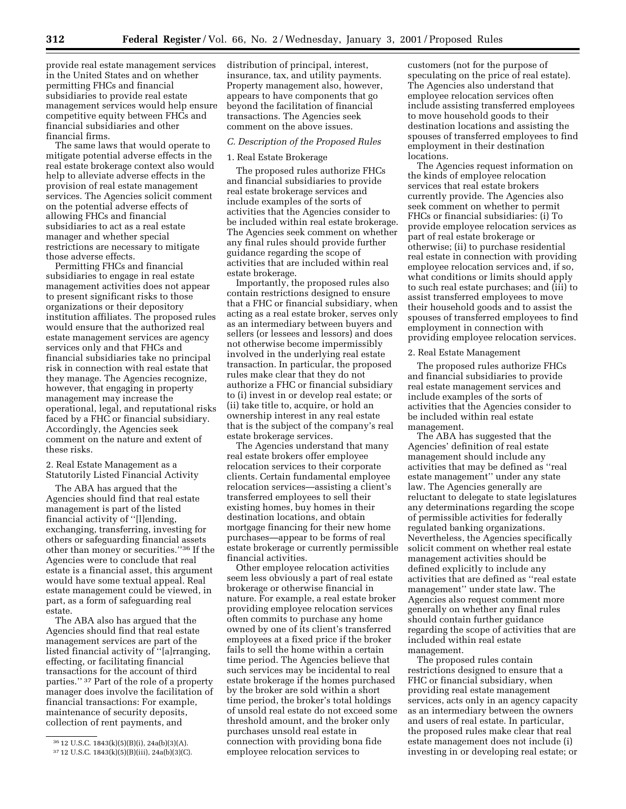provide real estate management services in the United States and on whether permitting FHCs and financial subsidiaries to provide real estate management services would help ensure competitive equity between FHCs and financial subsidiaries and other financial firms.

The same laws that would operate to mitigate potential adverse effects in the real estate brokerage context also would help to alleviate adverse effects in the provision of real estate management services. The Agencies solicit comment on the potential adverse effects of allowing FHCs and financial subsidiaries to act as a real estate manager and whether special restrictions are necessary to mitigate those adverse effects.

Permitting FHCs and financial subsidiaries to engage in real estate management activities does not appear to present significant risks to those organizations or their depository institution affiliates. The proposed rules would ensure that the authorized real estate management services are agency services only and that FHCs and financial subsidiaries take no principal risk in connection with real estate that they manage. The Agencies recognize, however, that engaging in property management may increase the operational, legal, and reputational risks faced by a FHC or financial subsidiary. Accordingly, the Agencies seek comment on the nature and extent of these risks.

# 2. Real Estate Management as a Statutorily Listed Financial Activity

The ABA has argued that the Agencies should find that real estate management is part of the listed financial activity of ''[l]ending, exchanging, transferring, investing for others or safeguarding financial assets other than money or securities.''36 If the Agencies were to conclude that real estate is a financial asset, this argument would have some textual appeal. Real estate management could be viewed, in part, as a form of safeguarding real estate.

The ABA also has argued that the Agencies should find that real estate management services are part of the listed financial activity of ''[a]rranging, effecting, or facilitating financial transactions for the account of third parties.'' 37 Part of the role of a property manager does involve the facilitation of financial transactions: For example, maintenance of security deposits, collection of rent payments, and

distribution of principal, interest, insurance, tax, and utility payments. Property management also, however, appears to have components that go beyond the facilitation of financial transactions. The Agencies seek comment on the above issues.

#### *C. Description of the Proposed Rules*

#### 1. Real Estate Brokerage

The proposed rules authorize FHCs and financial subsidiaries to provide real estate brokerage services and include examples of the sorts of activities that the Agencies consider to be included within real estate brokerage. The Agencies seek comment on whether any final rules should provide further guidance regarding the scope of activities that are included within real estate brokerage.

Importantly, the proposed rules also contain restrictions designed to ensure that a FHC or financial subsidiary, when acting as a real estate broker, serves only as an intermediary between buyers and sellers (or lessees and lessors) and does not otherwise become impermissibly involved in the underlying real estate transaction. In particular, the proposed rules make clear that they do not authorize a FHC or financial subsidiary to (i) invest in or develop real estate; or (ii) take title to, acquire, or hold an ownership interest in any real estate that is the subject of the company's real estate brokerage services.

The Agencies understand that many real estate brokers offer employee relocation services to their corporate clients. Certain fundamental employee relocation services—assisting a client's transferred employees to sell their existing homes, buy homes in their destination locations, and obtain mortgage financing for their new home purchases—appear to be forms of real estate brokerage or currently permissible financial activities.

Other employee relocation activities seem less obviously a part of real estate brokerage or otherwise financial in nature. For example, a real estate broker providing employee relocation services often commits to purchase any home owned by one of its client's transferred employees at a fixed price if the broker fails to sell the home within a certain time period. The Agencies believe that such services may be incidental to real estate brokerage if the homes purchased by the broker are sold within a short time period, the broker's total holdings of unsold real estate do not exceed some threshold amount, and the broker only purchases unsold real estate in connection with providing bona fide employee relocation services to

customers (not for the purpose of speculating on the price of real estate). The Agencies also understand that employee relocation services often include assisting transferred employees to move household goods to their destination locations and assisting the spouses of transferred employees to find employment in their destination locations.

The Agencies request information on the kinds of employee relocation services that real estate brokers currently provide. The Agencies also seek comment on whether to permit FHCs or financial subsidiaries: (i) To provide employee relocation services as part of real estate brokerage or otherwise; (ii) to purchase residential real estate in connection with providing employee relocation services and, if so, what conditions or limits should apply to such real estate purchases; and (iii) to assist transferred employees to move their household goods and to assist the spouses of transferred employees to find employment in connection with providing employee relocation services.

#### 2. Real Estate Management

The proposed rules authorize FHCs and financial subsidiaries to provide real estate management services and include examples of the sorts of activities that the Agencies consider to be included within real estate management.

The ABA has suggested that the Agencies' definition of real estate management should include any activities that may be defined as ''real estate management'' under any state law. The Agencies generally are reluctant to delegate to state legislatures any determinations regarding the scope of permissible activities for federally regulated banking organizations. Nevertheless, the Agencies specifically solicit comment on whether real estate management activities should be defined explicitly to include any activities that are defined as ''real estate management'' under state law. The Agencies also request comment more generally on whether any final rules should contain further guidance regarding the scope of activities that are included within real estate management.

The proposed rules contain restrictions designed to ensure that a FHC or financial subsidiary, when providing real estate management services, acts only in an agency capacity as an intermediary between the owners and users of real estate. In particular, the proposed rules make clear that real estate management does not include (i) investing in or developing real estate; or

<sup>36</sup> 12 U.S.C. 1843(k)(5)(B)(i), 24a(b)(3)(A).

<sup>37</sup> 12 U.S.C. 1843(k)(5)(B)(iii), 24a(b)(3)(C).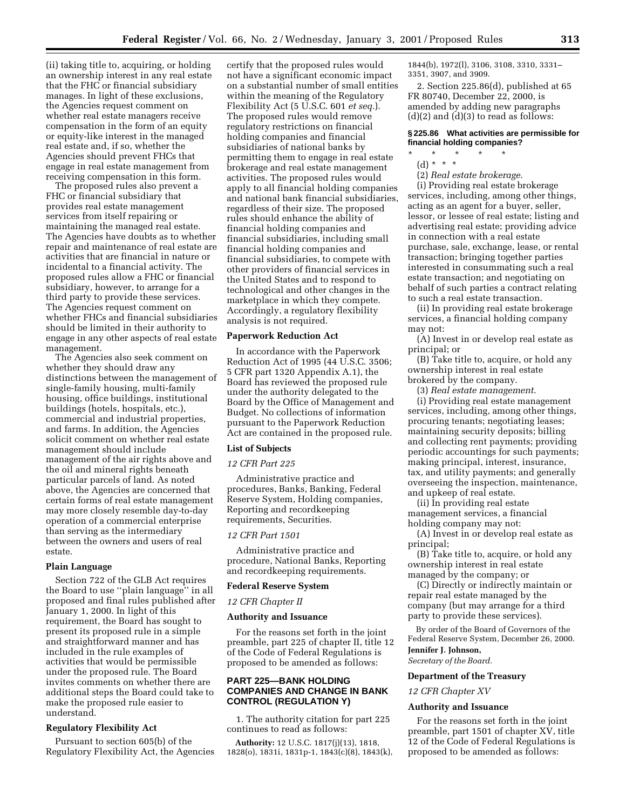(ii) taking title to, acquiring, or holding an ownership interest in any real estate that the FHC or financial subsidiary manages. In light of these exclusions, the Agencies request comment on whether real estate managers receive compensation in the form of an equity or equity-like interest in the managed real estate and, if so, whether the Agencies should prevent FHCs that engage in real estate management from receiving compensation in this form.

The proposed rules also prevent a FHC or financial subsidiary that provides real estate management services from itself repairing or maintaining the managed real estate. The Agencies have doubts as to whether repair and maintenance of real estate are activities that are financial in nature or incidental to a financial activity. The proposed rules allow a FHC or financial subsidiary, however, to arrange for a third party to provide these services. The Agencies request comment on whether FHCs and financial subsidiaries should be limited in their authority to engage in any other aspects of real estate management.

The Agencies also seek comment on whether they should draw any distinctions between the management of single-family housing, multi-family housing, office buildings, institutional buildings (hotels, hospitals, etc.), commercial and industrial properties, and farms. In addition, the Agencies solicit comment on whether real estate management should include management of the air rights above and the oil and mineral rights beneath particular parcels of land. As noted above, the Agencies are concerned that certain forms of real estate management may more closely resemble day-to-day operation of a commercial enterprise than serving as the intermediary between the owners and users of real estate.

#### **Plain Language**

Section 722 of the GLB Act requires the Board to use ''plain language'' in all proposed and final rules published after January 1, 2000. In light of this requirement, the Board has sought to present its proposed rule in a simple and straightforward manner and has included in the rule examples of activities that would be permissible under the proposed rule. The Board invites comments on whether there are additional steps the Board could take to make the proposed rule easier to understand.

# **Regulatory Flexibility Act**

Pursuant to section 605(b) of the Regulatory Flexibility Act, the Agencies

certify that the proposed rules would not have a significant economic impact on a substantial number of small entities within the meaning of the Regulatory Flexibility Act (5 U.S.C. 601 *et seq.*). The proposed rules would remove regulatory restrictions on financial holding companies and financial subsidiaries of national banks by permitting them to engage in real estate brokerage and real estate management activities. The proposed rules would apply to all financial holding companies and national bank financial subsidiaries, regardless of their size. The proposed rules should enhance the ability of financial holding companies and financial subsidiaries, including small financial holding companies and financial subsidiaries, to compete with other providers of financial services in the United States and to respond to technological and other changes in the marketplace in which they compete. Accordingly, a regulatory flexibility analysis is not required.

#### **Paperwork Reduction Act**

In accordance with the Paperwork Reduction Act of 1995 (44 U.S.C. 3506; 5 CFR part 1320 Appendix A.1), the Board has reviewed the proposed rule under the authority delegated to the Board by the Office of Management and Budget. No collections of information pursuant to the Paperwork Reduction Act are contained in the proposed rule.

## **List of Subjects**

#### *12 CFR Part 225*

Administrative practice and procedures, Banks, Banking, Federal Reserve System, Holding companies, Reporting and recordkeeping requirements, Securities.

#### *12 CFR Part 1501*

Administrative practice and procedure, National Banks, Reporting and recordkeeping requirements.

#### **Federal Reserve System**

*12 CFR Chapter II*

#### **Authority and Issuance**

For the reasons set forth in the joint preamble, part 225 of chapter II, title 12 of the Code of Federal Regulations is proposed to be amended as follows:

# **PART 225—BANK HOLDING COMPANIES AND CHANGE IN BANK CONTROL (REGULATION Y)**

1. The authority citation for part 225 continues to read as follows:

**Authority:** 12 U.S.C. 1817(j)(13), 1818, 1828(o), 1831i, 1831p-1, 1843(c)(8), 1843(k),

1844(b), 1972(l), 3106, 3108, 3310, 3331– 3351, 3907, and 3909.

2. Section 225.86(d), published at 65 FR 80740, December 22, 2000, is amended by adding new paragraphs  $(d)(2)$  and  $(d)(3)$  to read as follows:

# **§ 225.86 What activities are permissible for financial holding companies?**

- \* \* \* \* \* (d) \* \* \*
	- (2) *Real estate brokerage*.

(i) Providing real estate brokerage services, including, among other things, acting as an agent for a buyer, seller, lessor, or lessee of real estate; listing and advertising real estate; providing advice in connection with a real estate purchase, sale, exchange, lease, or rental transaction; bringing together parties interested in consummating such a real estate transaction; and negotiating on behalf of such parties a contract relating to such a real estate transaction.

(ii) In providing real estate brokerage services, a financial holding company may not:

(A) Invest in or develop real estate as principal; or

(B) Take title to, acquire, or hold any ownership interest in real estate brokered by the company.

(3) *Real estate management*.

(i) Providing real estate management services, including, among other things, procuring tenants; negotiating leases; maintaining security deposits; billing and collecting rent payments; providing periodic accountings for such payments; making principal, interest, insurance, tax, and utility payments; and generally overseeing the inspection, maintenance, and upkeep of real estate.

(ii) In providing real estate management services, a financial holding company may not:

(A) Invest in or develop real estate as principal;

(B) Take title to, acquire, or hold any ownership interest in real estate managed by the company; or

(C) Directly or indirectly maintain or repair real estate managed by the company (but may arrange for a third party to provide these services).

By order of the Board of Governors of the Federal Reserve System, December 26, 2000. **Jennifer J. Johnson,**

# *Secretary of the Board.*

# **Department of the Treasury**

*12 CFR Chapter XV*

#### **Authority and Issuance**

For the reasons set forth in the joint preamble, part 1501 of chapter XV, title 12 of the Code of Federal Regulations is proposed to be amended as follows: